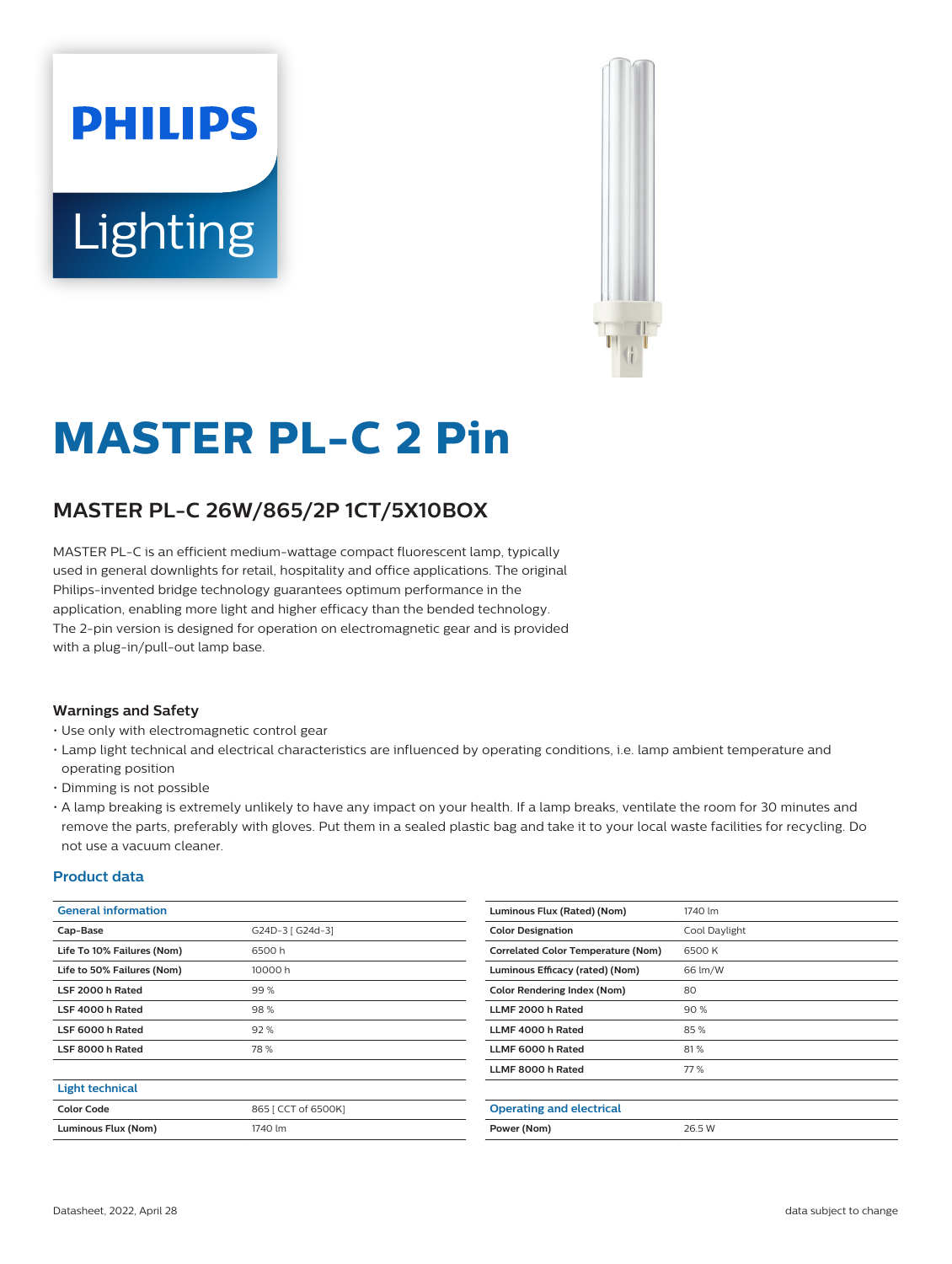# **PHILIPS Lighting**



# **MASTER PL-C 2 Pin**

# **MASTER PL-C 26W/865/2P 1CT/5X10BOX**

MASTER PL-C is an efficient medium-wattage compact fluorescent lamp, typically used in general downlights for retail, hospitality and office applications. The original Philips-invented bridge technology guarantees optimum performance in the application, enabling more light and higher efficacy than the bended technology. The 2-pin version is designed for operation on electromagnetic gear and is provided with a plug-in/pull-out lamp base.

#### **Warnings and Safety**

- Use only with electromagnetic control gear
- Lamp light technical and electrical characteristics are influenced by operating conditions, i.e. lamp ambient temperature and operating position
- Dimming is not possible
- A lamp breaking is extremely unlikely to have any impact on your health. If a lamp breaks, ventilate the room for 30 minutes and remove the parts, preferably with gloves. Put them in a sealed plastic bag and take it to your local waste facilities for recycling. Do not use a vacuum cleaner.

#### **Product data**

| <b>General information</b> |                     | Luminous Flux (Rated) (Nom)               | 1740 lm       |
|----------------------------|---------------------|-------------------------------------------|---------------|
| Cap-Base                   | G24D-3 [ G24d-3]    | <b>Color Designation</b>                  | Cool Daylight |
| Life To 10% Failures (Nom) | 6500h               | <b>Correlated Color Temperature (Nom)</b> | 6500 K        |
| Life to 50% Failures (Nom) | 10000 h             | Luminous Efficacy (rated) (Nom)           | 66 lm/W       |
| LSF 2000 h Rated           | 99%                 | <b>Color Rendering Index (Nom)</b>        | 80            |
| LSF 4000 h Rated           | 98%                 | LLMF 2000 h Rated                         | 90%           |
| LSF 6000 h Rated           | 92%                 | LLMF 4000 h Rated                         | 85%           |
| LSF 8000 h Rated           | 78%                 | LLMF 6000 h Rated                         | 81%           |
|                            |                     | LLMF 8000 h Rated                         | 77 %          |
| <b>Light technical</b>     |                     |                                           |               |
| <b>Color Code</b>          | 865   CCT of 6500K] | <b>Operating and electrical</b>           |               |
| Luminous Flux (Nom)        | 1740 lm             | Power (Nom)                               | 26.5 W        |
|                            |                     |                                           |               |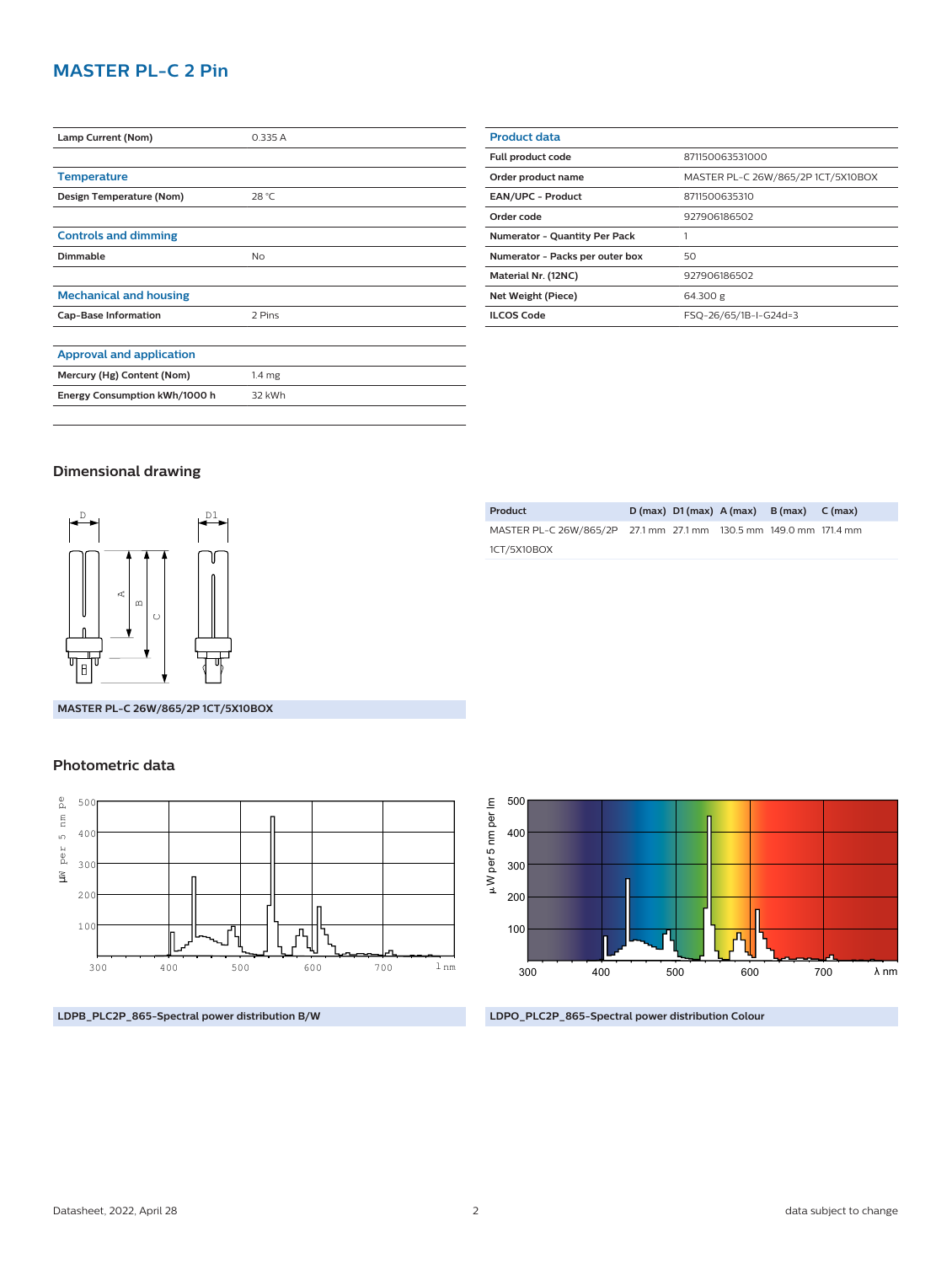### **MASTER PL-C 2 Pin**

| Lamp Current (Nom)              | 0.335 A           |
|---------------------------------|-------------------|
|                                 |                   |
| <b>Temperature</b>              |                   |
| Design Temperature (Nom)        | 28 °C             |
|                                 |                   |
| <b>Controls and dimming</b>     |                   |
| <b>Dimmable</b>                 | No                |
|                                 |                   |
| <b>Mechanical and housing</b>   |                   |
| <b>Cap-Base Information</b>     | 2 Pins            |
|                                 |                   |
| <b>Approval and application</b> |                   |
| Mercury (Hg) Content (Nom)      | 1.4 <sub>mg</sub> |
| Energy Consumption kWh/1000 h   | 32 kWh            |
|                                 |                   |

| <b>Product data</b>                  |                                    |  |
|--------------------------------------|------------------------------------|--|
| Full product code                    | 871150063531000                    |  |
| Order product name                   | MASTER PL-C 26W/865/2P 1CT/5X10BOX |  |
| <b>EAN/UPC - Product</b>             | 8711500635310                      |  |
| Order code                           | 927906186502                       |  |
| <b>Numerator - Quantity Per Pack</b> |                                    |  |
| Numerator - Packs per outer box      | 50                                 |  |
| Material Nr. (12NC)                  | 927906186502                       |  |
| Net Weight (Piece)                   | 64.300 g                           |  |
| <b>ILCOS Code</b>                    | FSQ-26/65/1B-I-G24d=3              |  |
|                                      |                                    |  |

#### **Dimensional drawing**



**Product D (max) D1 (max) A (max) B (max) C (max)** MASTER PL-C 26W/865/2P 27.1 mm 27.1 mm 130.5 mm 149.0 mm 171.4 mm 1CT/5X10BOX

**MASTER PL-C 26W/865/2P 1CT/5X10BOX**

#### **Photometric data**



**LDPB\_PLC2P\_865-Spectral power distribution B/W**